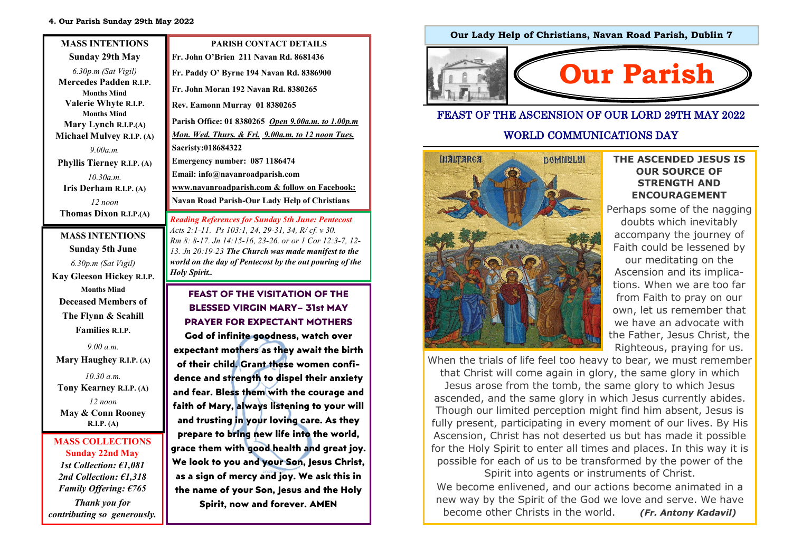| <b>MASS INTENTIONS</b>                                                                                                                                                                                                                                                               | <b>PARISH CONTACT DETAILS</b>                                                                                                                                                                                                                                                                                                                                                                                                          |
|--------------------------------------------------------------------------------------------------------------------------------------------------------------------------------------------------------------------------------------------------------------------------------------|----------------------------------------------------------------------------------------------------------------------------------------------------------------------------------------------------------------------------------------------------------------------------------------------------------------------------------------------------------------------------------------------------------------------------------------|
| Sunday 29th May                                                                                                                                                                                                                                                                      | Fr. John O'Brien 211 Navan Rd. 8681436                                                                                                                                                                                                                                                                                                                                                                                                 |
| $6.30p.m$ (Sat Vigil)<br><b>Mercedes Padden R.I.P.</b><br><b>Months Mind</b><br>Valerie Whyte R.I.P.<br><b>Months Mind</b><br>Mary Lynch R.I.P.(A)<br><b>Michael Mulvey R.I.P. (A)</b><br>9.00a.m.<br>Phyllis Tierney R.I.P. (A)<br>10.30a.m.<br>Iris Derham R.I.P. (A)<br>$12$ noon | Fr. Paddy O' Byrne 194 Navan Rd. 8386900<br>Fr. John Moran 192 Navan Rd. 8380265<br>Rev. Eamonn Murray 01 8380265<br>Parish Office: 01 8380265 <i>Open 9.00a.m. to 1.00p.m</i><br>Mon. Wed. Thurs. & Fri. 9.00a.m. to 12 noon Tues.<br>Sacristy:018684322<br>Emergency number: 087 1186474<br>Email: info@navanroadparish.com<br>www.navanroadparish.com & follow on Facebook:<br><b>Navan Road Parish-Our Lady Help of Christians</b> |
| Thomas Dixon R.I.P.(A)                                                                                                                                                                                                                                                               | <b>Reading References for Sunday 5th June: Pentecost</b>                                                                                                                                                                                                                                                                                                                                                                               |
| <b>MASS INTENTIONS</b><br>Sunday 5th June                                                                                                                                                                                                                                            | Acts 2:1-11. Ps 103:1, 24, 29-31, 34, R/cf. v 30.<br>Rm 8: 8-17. Jn 14:15-16, 23-26. or or 1 Cor 12:3-7, 12-<br>13. Jn 20:19-23 The Church was made manifest to the                                                                                                                                                                                                                                                                    |

*Holy Spirit..*

*6.30p.m (Sat Vigil)*  **Kay Gleeson Hickey R.I.P. Months Mind Deceased Members of The Flynn & Scahill Families R.I.P.** 

*9.00 a.m.* 

**Mary Haughey R.I.P. (A)**

*10.30 a.m.* **Tony Kearney R.I.P. (A)**  *12 noon*  **May & Conn Rooney R.I.P. (A)** 

#### **MASS COLLECTIONS Sunday 22nd May**  *1st Collection: €1,081 2nd Collection: €1,318 Family Offering: €765*

*Thank you for contributing so generously.* 

## **Our Lady Help of Christians, Navan Road Parish, Dublin 7**



#### FEAST OF THE ASCENSION OF OUR LORD 29TH MAY 2022

#### WORLD COMMUNICATIONS DAY



#### **THE ASCENDED JESUS IS OUR SOURCE OF STRENGTH AND ENCOURAGEMENT**

Perhaps some of the nagging doubts which inevitably accompany the journey of Faith could be lessened by our meditating on the Ascension and its implications. When we are too far from Faith to pray on our own, let us remember that we have an advocate with the Father, Jesus Christ, the Righteous, praying for us.

When the trials of life feel too heavy to bear, we must remember that Christ will come again in glory, the same glory in which Jesus arose from the tomb, the same glory to which Jesus ascended, and the same glory in which Jesus currently abides. Though our limited perception might find him absent, Jesus is fully present, participating in every moment of our lives. By His Ascension, Christ has not deserted us but has made it possible for the Holy Spirit to enter all times and places. In this way it is possible for each of us to be transformed by the power of the Spirit into agents or instruments of Christ.

We become enlivened, and our actions become animated in a new way by the Spirit of the God we love and serve. We have become other Christs in the world. *(Fr. Antony Kadavil)* 

**FEAST OF THE VISITATION OF THE BLESSED VIRGIN MARY– 31st MAY PRAYER FOR EXPECTANT MOTHERS God of infinite goodness, watch over expectant mothers as they await the birth of their child. Grant these women confidence and strength to dispel their anxiety and fear. Bless them with the courage and faith of Mary, always listening to your will and trusting in your loving care. As they prepare to bring new life into the world, grace them with good health and great joy. We look to you and your Son, Jesus Christ, as a sign of mercy and joy. We ask this in the name of your Son, Jesus and the Holy Spirit, now and forever. AMEN**

*world on the day of Pentecost by the out pouring of the*